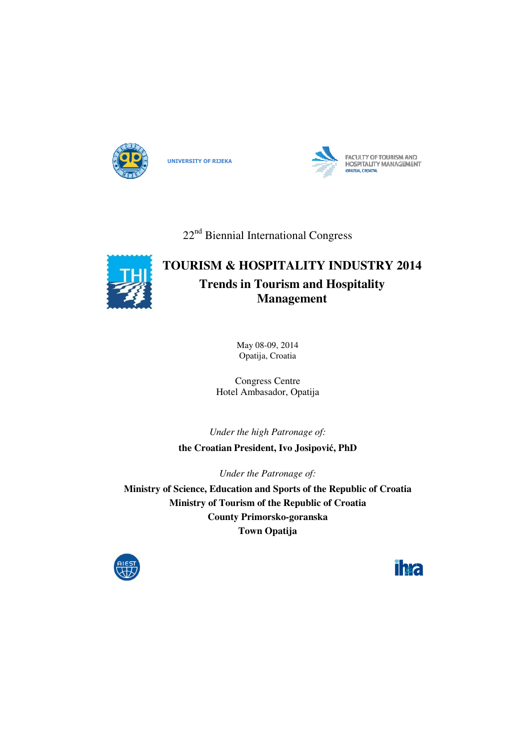

UNIVERSITY OF RIJEKA



### 22<sup>nd</sup> Biennial International Congress



## **TOURISM & HOSPITALITY INDUSTRY 2014 Trends in Tourism and Hospitality Management**

May 08-09, 2014 Opatija, Croatia

Congress Centre Hotel Ambasador, Opatija

**the Croatian President he President, Ivo Josipovi**ć**, PhD**  *Under the high Patronage of:* 

*Under the Patronage of:* 

**Ministry of Science, Education and Sports of the Republic of Croatia Ministry of Tourism of the Republic of Croatia County Primorsko-goranska Town Opatija** 



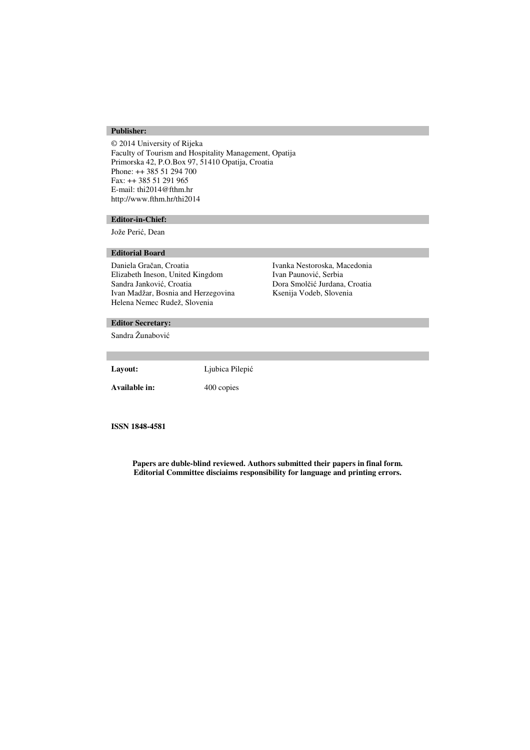### **Publisher:**

© 2014 University of Rijeka Faculty of Tourism and Hospitality Management, Opatija Primorska 42, P.O.Box 97, 51410 Opatija, Croatia Phone: ++ 385 51 294 700 Fax: ++ 385 51 291 965 E-mail: thi2014@fthm.hr http://www.fthm.hr/thi2014

### **Editor-in-Chief:**

Jože Perić, Dean

### **Editorial Board**

Daniela Gračan, Croatia Elizabeth Ineson, United Kingdom Sandra Janković, Croatia Ivan Madžar, Bosnia and Herzegovina Helena Nemec Rudež, Slovenia

Ivanka Nestoroska, Macedonia Ivan Paunović, Serbia Dora Smolčić Jurdana, Croatia Ksenija Vodeb, Slovenia

### **Editor Secretary:**

Sandra Žunabović

**Layout:** Ljubica Pilepić

**Available in:** 400 copies

**ISSN 1848-4581** 

**Papers are duble-blind reviewed. Authors submitted their papers in final form. Editorial Committee disciaims responsibility for language and printing errors.**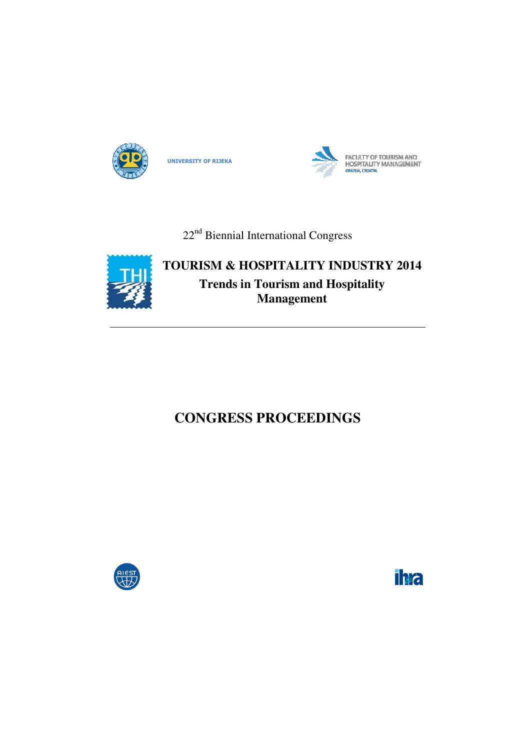

UNIVERSITY OF RIJEKA



22<sup>nd</sup> Biennial International Congress



**TOURISM & HOSPITALITY INDUSTRY 2014 Trends in Tourism and Hospitality Management** 

# **CON CONGRESS PROCEEDINGS**



**ika**